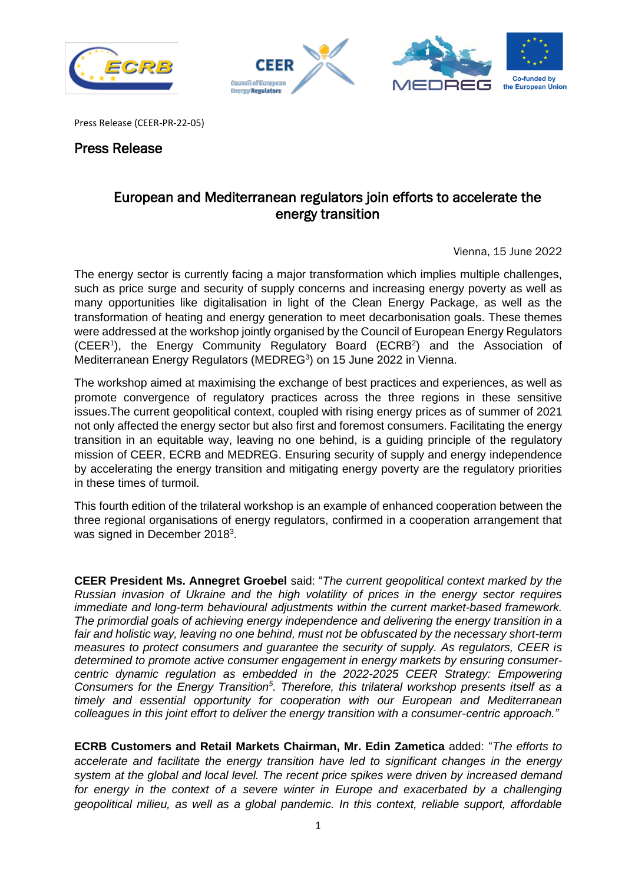





Press Release (CEER-PR-22-05)

## Press Release

## European and Mediterranean regulators join efforts to accelerate the energy transition

Vienna, 15 June 2022

The energy sector is currently facing a major transformation which implies multiple challenges, such as price surge and security of supply concerns and increasing energy poverty as well as many opportunities like digitalisation in light of the Clean Energy Package, as well as the transformation of heating and energy generation to meet decarbonisation goals. These themes were addressed at the workshop jointly organised by the Council of European Energy Regulators (CEER<sup>1</sup>), the Energy Community Regulatory Board (ECRB<sup>2</sup>) and the Association of Mediterranean Energy Regulators (MEDREG<sup>3</sup>) on 15 June 2022 in Vienna.

The workshop aimed at maximising the exchange of best practices and experiences, as well as promote convergence of regulatory practices across the three regions in these sensitive issues.The current geopolitical context, coupled with rising energy prices as of summer of 2021 not only affected the energy sector but also first and foremost consumers. Facilitating the energy transition in an equitable way, leaving no one behind, is a guiding principle of the regulatory mission of CEER, ECRB and MEDREG. Ensuring security of supply and energy independence by accelerating the energy transition and mitigating energy poverty are the regulatory priorities in these times of turmoil.

This fourth edition of the trilateral workshop is an example of enhanced cooperation between the three regional organisations of energy regulators, confirmed in a cooperation arrangement that was signed in December 2018<sup>3</sup>.

**CEER President Ms. Annegret Groebel** said: "*The current geopolitical context marked by the Russian invasion of Ukraine and the high volatility of prices in the energy sector requires immediate and long-term behavioural adjustments within the current market-based framework. The primordial goals of achieving energy independence and delivering the energy transition in a fair and holistic way, leaving no one behind, must not be obfuscated by the necessary short-term measures to protect consumers and guarantee the security of supply. As regulators, CEER is determined to promote active consumer engagement in energy markets by ensuring consumercentric dynamic regulation as embedded in the 2022-2025 CEER Strategy: Empowering Consumers for the Energy Transition<sup>5</sup> . Therefore, this trilateral workshop presents itself as a timely and essential opportunity for cooperation with our European and Mediterranean colleagues in this joint effort to deliver the energy transition with a consumer-centric approach."*

**ECRB Customers and Retail Markets Chairman, Mr. Edin Zametica** added: "*The efforts to accelerate and facilitate the energy transition have led to significant changes in the energy system at the global and local level. The recent price spikes were driven by increased demand*  for energy in the context of a severe winter in Europe and exacerbated by a challenging *geopolitical milieu, as well as a global pandemic. In this context, reliable support, affordable*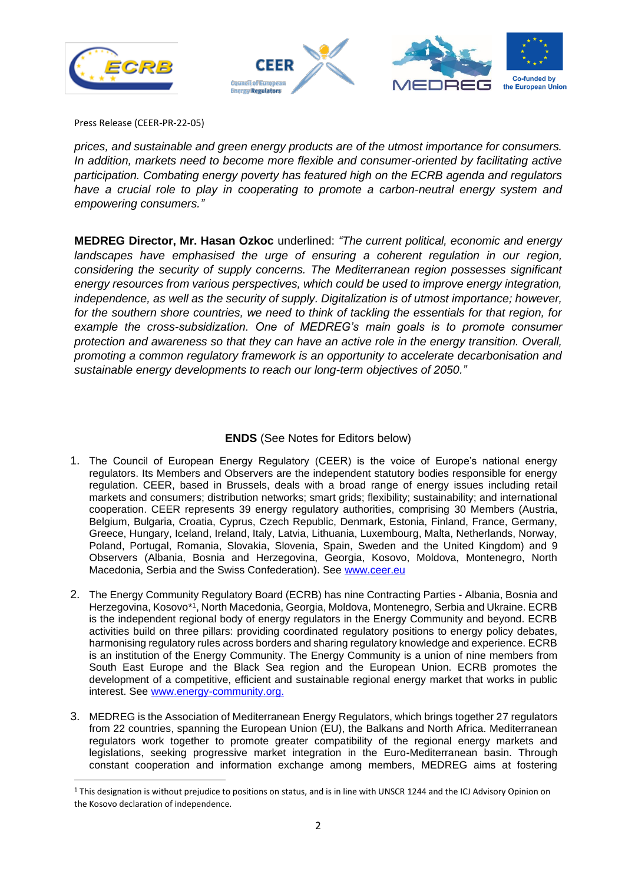





Press Release (CEER-PR-22-05)

 *prices, and sustainable and green energy products are of the utmost importance for consumers. In addition, markets need to become more flexible and consumer-oriented by facilitating active participation. Combating energy poverty has featured high on the ECRB agenda and regulators have a crucial role to play in cooperating to promote a carbon-neutral energy system and empowering consumers."*

**MEDREG Director, Mr. Hasan Ozkoc** underlined: *"The current political, economic and energy*  landscapes have emphasised the urge of ensuring a coherent regulation in our region, *considering the security of supply concerns. The Mediterranean region possesses significant energy resources from various perspectives, which could be used to improve energy integration, independence, as well as the security of supply. Digitalization is of utmost importance; however,*  for the southern shore countries, we need to think of tackling the essentials for that region, for *example the cross-subsidization. One of MEDREG's main goals is to promote consumer protection and awareness so that they can have an active role in the energy transition. Overall, promoting a common regulatory framework is an opportunity to accelerate decarbonisation and sustainable energy developments to reach our long-term objectives of 2050."*

## **ENDS** (See Notes for Editors below)

- 1. The Council of European Energy Regulatory (CEER) is the voice of Europe's national energy regulators. Its Members and Observers are the independent statutory bodies responsible for energy regulation. CEER, based in Brussels, deals with a broad range of energy issues including retail markets and consumers; distribution networks; smart grids; flexibility; sustainability; and international cooperation. CEER represents 39 energy regulatory authorities, comprising 30 Members (Austria, Belgium, Bulgaria, Croatia, Cyprus, Czech Republic, Denmark, Estonia, Finland, France, Germany, Greece, Hungary, Iceland, Ireland, Italy, Latvia, Lithuania, Luxembourg, Malta, Netherlands, Norway, Poland, Portugal, Romania, Slovakia, Slovenia, Spain, Sweden and the United Kingdom) and 9 Observers (Albania, Bosnia and Herzegovina, Georgia, Kosovo, Moldova, Montenegro, North Macedonia, Serbia and the Swiss Confederation). See [www.ceer.eu](http://www.ceer.eu/)
- 2. The Energy Community Regulatory Board (ECRB) has nine Contracting Parties Albania, Bosnia and Herzegovina, Kosovo\*<sup>1</sup> , North Macedonia, Georgia, Moldova, Montenegro, Serbia and Ukraine. ECRB is the independent regional body of energy regulators in the Energy Community and beyond. ECRB activities build on three pillars: providing coordinated regulatory positions to energy policy debates, harmonising regulatory rules across borders and sharing regulatory knowledge and experience. ECRB is an institution of the Energy Community. The Energy Community is a union of nine members from South East Europe and the Black Sea region and the European Union. ECRB promotes the development of a competitive, efficient and sustainable regional energy market that works in public interest. See [www.energy-community.org.](http://www.energy-community.org/)
- 3. MEDREG is the Association of Mediterranean Energy Regulators, which brings together 27 regulators from 22 countries, spanning the European Union (EU), the Balkans and North Africa. Mediterranean regulators work together to promote greater compatibility of the regional energy markets and legislations, seeking progressive market integration in the Euro-Mediterranean basin. Through constant cooperation and information exchange among members, MEDREG aims at fostering

<sup>&</sup>lt;sup>1</sup> This designation is without prejudice to positions on status, and is in line with UNSCR 1244 and the ICJ Advisory Opinion on the Kosovo declaration of independence.